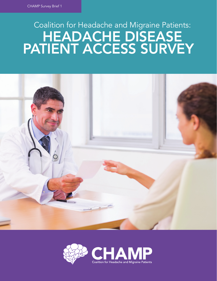# HEADACHE DISEASE PATIENT ACCESS SURVEY Coalition for Headache and Migraine Patients:



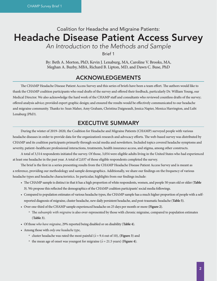## Coalition for Headache and Migraine Patients: Headache Disease Patient Access Survey

*An Introduction to the Methods and Sample* 

Brief 1

By: Beth A. Morton, PhD, Kevin J. Lenaburg, MA, Caroline V. Brooks, MA, Meghan A. Buzby, MBA, Richard B. Lipton, MD, and Dawn C. Buse, PhD

## ACKNOWLEDGEMENTS

The CHAMP Headache Disease Patient Access Survey and this series of briefs have been a team effort. The authors would like to thank the CHAMP coalition participants who read drafts of the survey and offered their feedback, particularly Dr. William Young, our Medical Director. We also acknowledge the hard work of the CHAMP staff and consultants who reviewed countless drafts of the survey; offered analysis advice; provided expert graphic design; and ensured the results would be effectively communicated to our headache and migraine community. Thanks to: Sean Maher, Amy Graham, Christina Daigneault, Jessica Napier, Monica Harrington, and Lubi Lenaburg (PhD).

## EXECUTIVE SUMMARY

During the winter of 2019–2020, the Coalition for Headache and Migraine Patients (CHAMP) surveyed people with various headache diseases in order to provide data for the organization's research and advocacy efforts. The web-based survey was distributed by CHAMP and its coalition participants primarily through social media and newsletters. Included topics covered headache symptoms and severity, patient–healthcare professional interactions, treatments, health insurance access, and stigma, among other constructs.

A total of 3,514 respondents initiated the survey. Of those, 3,054 were eligible adults living in the United States who had experienced at least one headache in the past year. A total of 2,037 of those eligible respondents completed the survey.

The brief is the first in a series presenting results from the CHAMP Headache Disease Patient Access Survey and is meant as a reference, providing our methodology and sample demographics. Additionally, we share our findings on the frequency of various headache types and headache characteristics. In particular, highlights from our findings include:

- The CHAMP sample is distinct in that it has a high proportion of white respondents, women, and people 50 years old or older (**Table 3**). We propose this reflected the demographics of the CHAMP coalition participants' social media followings.
- Compared to population estimates of various headache types, the CHAMP sample has a much higher proportion of people with a selfreported diagnosis of migraine, cluster headache, new daily persistent headache, and post-traumatic headache (**Table 5**).
- Over one-third of the CHAMP sample experienced headache on 25 days per month or more (**Figure 2**).
	- º The *subsample with migraine* is also over-represented by those with chronic migraine, compared to population estimates (**Table 3**).
- Of those *who have migraine*, 29% reported being disabled or on disability (**Table 4**).
- Among those with *only one headache type*,
	- <sup>o</sup> cluster headache was rated the most painful ( $\bar{x}$  = 9.4 out of 10), (Figure 3) and
	- <sup>o</sup> the mean age of onset was youngest for migraine ( $\bar{x}$  = 21.5 years) (**Figure 4**).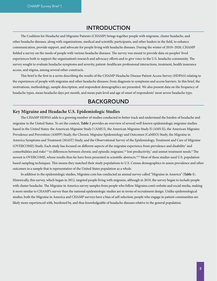## INTRODUCTION

The Coalition for Headache and Migraine Patients (CHAMP) brings together people with migraine, cluster headache, and other headache diseases, along with organizations, medical and scientific participants, and other leaders in the field, to enhance communication, provide support, and advocate for people living with headache diseases. During the winter of 2019–2020, CHAMP fielded a survey on the needs of people with various headache diseases. The survey was meant to provide data on peoples' lived experiences both to support the organization's research and advocacy efforts and to give voice to the U.S. headache community. The survey sought to evaluate headache symptoms and severity, patient–healthcare professional interactions, treatment, health insurance access, and stigma, among several other constructs.

This brief is the first in a series describing the results of the CHAMP Headache Disease Patient Access Survey (HDPAS) relating to the experiences of people with migraine and other headache diseases: from diagnosis to symptoms and access barriers. In this brief, the motivations, methodology, sample description, and respondent demographics are presented. We also present data on the frequency of headache types, mean headache days per month, and mean pain level and age of onset of respondents' most severe headache type.

## BACKGROUND

#### **Key Migraine and Headache U.S. Epidemiologic Studies**

The CHAMP HDPAS adds to a growing number of studies conducted to better track and understand the burden of headache and migraine in the United States. To set the context, **Table 1** provides an overview of several well-known epidemiologic migraine studies based in the United States: the American Migraine Study I (AMS I), the American Migraine Study II (AMS II), the American Migraine Prevalence and Prevention (AMPP) Study, the Chronic Migraine Epidemiology and Outcomes (CaMEO) Study, the Migraine in America Symptoms and Treatment (MAST) Study, and the Observational Survey of the Epidemiology, Treatment and Care of Migraine (OVERCOME) Study. Each study has focused on different aspects of the migraine experience from prevalence and disability<sup>1</sup> and comorbidities and risks<sup>2-4</sup> to differences between chronic and episodic migraine,<sup>5,6</sup> lost productivity,<sup>7</sup> and unmet treatment needs.<sup>8</sup> The newest is OVERCOME, whose results thus far have been presented in scientific abstracts.<sup>9,10</sup> Most of these studies used U.S. populationbased sampling techniques. This means they matched their study populations to U.S. Census demographics to assess prevalence and other outcomes in a sample that is representative of the United States population as a whole.

In addition to the epidemiologic studies, Migraine.com has conducted an annual survey called "Migraine in America" (**Table 1**). Historically, this survey, which began in 2012, targeted people living with migraine, although in 2019, the survey began to include people with cluster headache. The Migraine in America survey samples from people who follow Migraine.com's website and social media, making it more similar to CHAMP's survey than the national epidemiologic studies are in terms of recruitment design. Unlike epidemiological studies, both the Migraine in America and CHAMP surveys have a bias of self-selection; people who engage in patient communities are likely more experienced with, burdened by, and thus knowledgeable of headache diseases relative to the general population.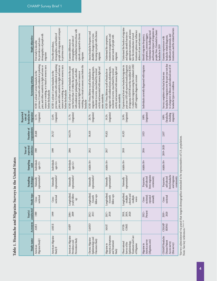| $\frac{1}{2}$<br> <br> <br> |
|-----------------------------|
| $\sin$ the l<br>בח+ מדי ה   |
|                             |
| <b>COLEMBIA COMPLETED</b>   |
| י דוח הדודמי הד<br>١        |
| i mun<br>$\sqrt{20}$        |
| ;                           |

| <b>Study objective</b>                         | demographics of people with<br>the prevalence and socio-<br>First study to describe<br>migraine                                                                                                                              | people with migraine and compare<br>demographics, and burden of<br>Describe prevalence,<br>to previous wave                                                                                                                   | comorbidities between those with<br>episodic compared to chronic<br>demographics and rates of<br>Examine differences in<br>migraine                                                                                                                            | focusing on people with chronic<br>Assess headache frequency and<br>disability changes over a year,<br>migraine                                                                                                   | treatment management, and<br>unmet needs of people with<br>Understand the symptoms,<br>migraine                                                                                                                   | Understand the burden of migraine<br>appropriate treatment, and assess<br>treatment options may influence<br>and stigma, identify barriers to<br>how the introduction of novel<br>delivery of care and outcomes                      | and broader impact of migraine on<br>peoples' lives. Extended to cluster<br>Understand the challenges faced<br>symptoms, common triggers.<br>Identify migraine frequency,<br>headache in 2019 | treatments, and the related barriers<br>healthcare professionals, and<br>headache-related diagnosis,<br>Examine experiences with                                             |
|------------------------------------------------|------------------------------------------------------------------------------------------------------------------------------------------------------------------------------------------------------------------------------|-------------------------------------------------------------------------------------------------------------------------------------------------------------------------------------------------------------------------------|----------------------------------------------------------------------------------------------------------------------------------------------------------------------------------------------------------------------------------------------------------------|-------------------------------------------------------------------------------------------------------------------------------------------------------------------------------------------------------------------|-------------------------------------------------------------------------------------------------------------------------------------------------------------------------------------------------------------------|--------------------------------------------------------------------------------------------------------------------------------------------------------------------------------------------------------------------------------------|-----------------------------------------------------------------------------------------------------------------------------------------------------------------------------------------------|------------------------------------------------------------------------------------------------------------------------------------------------------------------------------|
| Screening criteria                             | previous 12 months with unilateral or pulsating<br>pain, and either sensitivity to light and noise or<br>nausea or vomiting, or a visual or sensory aura<br>ICHD-1; at least 1 severe headache in the<br>before the headache | previous 12 months with unilateral or pulsating<br>pain, and either sensitivity to light and noise or<br>nausea or vorniting, or a visual or sensory aura<br>ICHD-1; at least 1 severe headache in the<br>before the headache | vomiting, or a visual or sensory aura before the<br>ICHD-2; at least 1 severe headache in the past<br>year but less than 15 within the past month,<br>with unilateral or pulsating pain, and either<br>sensitivity to light and noise or nausea or<br>headache | migraine with unilateral pain, pulsating pain,<br>activity and associated with nausea, light and<br>ICHD-3 beta; lifetime recall of headache or<br>moderate to severe, exacerbated by normal<br>noise sensitivity | migraine with unilateral pain, pulsating pain,<br>activity and associated with nausea, light and<br>ICHD-3 beta; lifetime recall of headache or<br>moderate to severe, exacerbated by normal<br>noise sensitivity | 3 criteria for migraine using the validated AMS/<br>past year AND self-reported medical diagnosis<br>Experienced at least one headache/migraine in<br>of migraine AND/OR met the modified ICHD-<br>AMPP migraine diagnostic screener | Individuals currently diagnosed with migraine                                                                                                                                                 | headache or migraine over the past year not due<br>to a hangover or illness and endorsed one of 18<br>Survey completers who had at least one<br>headache types or conditions |
| headache or<br>Reported<br>migraine<br>rate of | (migraine)<br>12.1%                                                                                                                                                                                                          | (migraine)<br>12.6%                                                                                                                                                                                                           | (migraine)<br>11.7%                                                                                                                                                                                                                                            | (migraine)<br>28.7%                                                                                                                                                                                               | (migraine)<br>192%                                                                                                                                                                                                | (migraine)<br>24.9%                                                                                                                                                                                                                  | (migraine)<br>100%                                                                                                                                                                            | (headache,<br>including<br>migraine)<br>100%                                                                                                                                 |
| respondents<br>Number of                       | 20,468                                                                                                                                                                                                                       | 29,727                                                                                                                                                                                                                        | 162,576                                                                                                                                                                                                                                                        | 58,418                                                                                                                                                                                                            | 95,821                                                                                                                                                                                                            | 41,925                                                                                                                                                                                                                               | 3,923                                                                                                                                                                                         | 2,037                                                                                                                                                                        |
| reported<br>statistics<br>Year of              | 1989                                                                                                                                                                                                                         | 1999                                                                                                                                                                                                                          | 2004                                                                                                                                                                                                                                                           | 2012                                                                                                                                                                                                              | 2017                                                                                                                                                                                                              | 2018                                                                                                                                                                                                                                 | 2016                                                                                                                                                                                          | 2019-2020                                                                                                                                                                    |
| Sampling<br>unit                               | Individuals<br>ages 12+                                                                                                                                                                                                      | Individuals<br>ages 12+                                                                                                                                                                                                       | Individuals<br>ages 12+                                                                                                                                                                                                                                        | Adults 18+                                                                                                                                                                                                        | Adults 18+                                                                                                                                                                                                        | Adults 18+                                                                                                                                                                                                                           | Adults 18+                                                                                                                                                                                    | Adults 18+                                                                                                                                                                   |
| Sampling<br>technique                          | representative <sup>1</sup><br>Nationally                                                                                                                                                                                    | representative <sup>1</sup><br>Nationally                                                                                                                                                                                     | representative <sup>1</sup><br>Nationally                                                                                                                                                                                                                      | representative<br>Nationally                                                                                                                                                                                      | representative<br>Nationally                                                                                                                                                                                      | representative<br>Nationally                                                                                                                                                                                                         | from migraine<br>self-selected<br>community<br>Purposive,                                                                                                                                     | from headache<br>and migraine<br>self-selected<br>community<br>Purposive,                                                                                                    |
| Study type                                     | sectional<br>Cross-                                                                                                                                                                                                          | sectional<br>Cross-                                                                                                                                                                                                           | yearly follow-<br>Longitudinal;<br>ę                                                                                                                                                                                                                           | Longitudinal;<br>follow-ups<br>3 month                                                                                                                                                                            | Longitudinal;<br>follow-ups<br>6 month                                                                                                                                                                            | Longitudinal;<br>cohorts and<br>multiple<br>multiple<br>waves                                                                                                                                                                        | sectional;<br>repeated<br>annually<br>Cross-                                                                                                                                                  | sectional<br>Cross-                                                                                                                                                          |
| conducted<br>Year(s)                           | 1989                                                                                                                                                                                                                         | 1999                                                                                                                                                                                                                          | $2004 -$<br>2009                                                                                                                                                                                                                                               | $2012 -$<br>2013                                                                                                                                                                                                  | $2017 -$<br>2018                                                                                                                                                                                                  | 2018,<br>2019,<br>2020                                                                                                                                                                                                               | Present<br>$2012 -$                                                                                                                                                                           | $2019 -$<br>2020                                                                                                                                                             |
| Acronym                                        | <b>AMSI</b>                                                                                                                                                                                                                  | <b>AMSII</b>                                                                                                                                                                                                                  | <b>AMPP</b>                                                                                                                                                                                                                                                    | CaMEO                                                                                                                                                                                                             | MAST                                                                                                                                                                                                              | COME<br>OVER-                                                                                                                                                                                                                        |                                                                                                                                                                                               | <b>CHAMP</b><br><b>HDPAS</b>                                                                                                                                                 |
| Study name                                     | Migraine Study I<br>American                                                                                                                                                                                                 | American Migraine<br>Study II                                                                                                                                                                                                 | American Migraine<br>Prevention Study<br>Prevalence and                                                                                                                                                                                                        | Epidemiology and<br>Chronic Migraine<br>Outcomes Study                                                                                                                                                            | America Symptoms<br>and Treatment<br>Migraine in<br>Study                                                                                                                                                         | Treatment and Care<br>Epidemiology,<br>Observational<br>Survey of the<br>of Migraine                                                                                                                                                 | America survey<br>(Migraine.com)<br>Migraine in                                                                                                                                               | <b>CHAMP</b> Headache<br>Disease Patient<br>Access survey<br>(this survey)                                                                                                   |

'Survey administered via panel that targets demographics intended to be representative of U.S. population. Note: See key references.  $^{1.8,11\ldots 18}$ 1Survey administered via panel that targets demographics intended to be representative of U.S. population. Note: See key references.<sup>1,6,8,11-18</sup>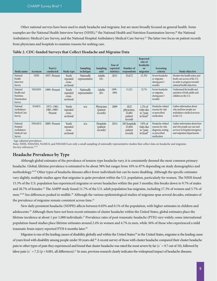Other national surveys have been used to study headache and migraine, but are more broadly focused on general health. Some examples are the National Health Interview Survey (NHIS),<sup>19</sup> the National Health and Nutrition Examination Survey,<sup>20</sup> the National Ambulatory Medical Care Survey, and the National Hospital Ambulatory Medical Care Survey.21 The latter two focus on patient records from physicians and hospitals to examine reasons for seeking care.

| Study name                                                          | Acronym       | Year(s)<br>conducted                 | <b>Study type</b>                         | Sampling<br>technique        | <b>Sampling</b><br>unit                   | Year of<br>reported<br>statistics | Number of<br>respondents                            | <b>Reported</b><br>rate of<br>headache<br>or<br>migraine | <b>Screening</b><br>criteria                                                                 | <b>Study objective</b>                                                                                                       |
|---------------------------------------------------------------------|---------------|--------------------------------------|-------------------------------------------|------------------------------|-------------------------------------------|-----------------------------------|-----------------------------------------------------|----------------------------------------------------------|----------------------------------------------------------------------------------------------|------------------------------------------------------------------------------------------------------------------------------|
| National<br>Health<br><b>Interview</b><br>Survey                    | <b>NHIS</b>   | 1957–Present                         | Yearly<br>repeated<br>cross-<br>sectional | Nationally<br>representative | <b>Adults</b><br>$18+$                    | 2015                              | 33,672                                              | $15.3\%$ <sup>1</sup>                                    | Severe headache<br>or migraine<br>during past 3<br>months                                    | Monitor the health status and<br>heath care access of the U.S.<br>in order to progress towards<br>national health objectives |
| National<br>Health and<br><b>Nutrition</b><br>Examination<br>Survey | <b>NHANES</b> | 1999–Present                         | Yearly<br>repeated<br>cross-<br>sectional | Nationally<br>representative | <b>Adults</b><br>$20+$                    | 1999-<br>2004                     | 15,322                                              | 22.7%                                                    | Severe headache<br>or migraine<br>during past 3<br>months                                    | Understand the health and<br>nutrition of both adults and<br>children in the U.S.                                            |
| National<br>Ambulatory<br>Medical Care<br>Survey                    | <b>NAMCS</b>  | 1973-1981,<br>1985, 1989-<br>Present | Yearly<br>repeated<br>cross-<br>sectional | n/a                          | Physicians<br>(patient<br>records)        | 2009                              | 1822<br>physicians,<br>32,881<br>patient<br>records | $1.2\%$ of<br>visits due<br>to "pain<br>in head"         | Headache-related<br>reasons for visit<br>or prescribed<br>medication                         | Gather information about<br>why and how people use<br>ambulatory medical services<br>in the U.S.                             |
| National<br>Hospital<br>Ambulatory<br>Medical Care<br>Survey        | <b>NHAMCS</b> | 2009-Present                         | Yearly<br>repeated<br>cross-<br>sectional | n/a                          | Hospitals<br><i>(patient)</i><br>records) | 2014                              | 283 hospitals<br>23,844<br>patient<br>records       | $3.0\%$ of<br>visits due<br>to "pain<br>in head"         | Headache-related<br>reasons for visit,<br>diagnosis, testing,<br>or prescribed<br>medication | Gather information about how<br>and why people use care and<br>services in hospital emergency<br>and outpatient departments  |

**Table 2. CDC-funded Surveys that Collect Headache and Migraine Data**

<sup>1</sup>Age-adjusted prevalence.

Note: NHIS, NHANES, NAMCS, and NHAMCS are only a small sampling of nationally representative studies that collect data on headache and migraine. See key references.<sup>19-23</sup>

#### **Headache Prevalence by Type**

Although global estimates of the prevalence of tension-type headache vary, it is consistently deemed the most common primary headache. Global, lifetime prevalence is estimated to be about 38% but ranges from 10% to 87% depending on study demographics and methodology.24,25 Other types of headache diseases affect fewer individuals but can be more disabling. Although the specific estimates vary slightly, multiple studies agree that migraine is quite prevalent within the U.S. population, particularly for women. The NHIS found 15.3% of the U.S. population has experienced migraine or severe headaches within the past 3 months; this breaks down to 9.7% of males and 20.7% of females.<sup>23</sup> The AMPP study found 11.7% of the U.S. adult population has migraine, including 17.3% of women and 5.7% of men.<sup>22,26</sup> Sex differences peaked in midlife.<sup>26</sup> Although the various epidemiological studies of migraine span several decades, estimates of the prevalence of migraine remain consistent across time.<sup>23</sup>

New daily persistent headache (NDPH) affects between 0.03% and 0.1% of the population, with higher estimates in children and adolescents.16 Although there have not been recent estimates of cluster headache within the United States, global estimates place the lifetime incidence at about 1 per 1,000 individuals.<sup>27</sup> Prevalence rates of post-traumatic headache (PTH) vary widely; some international population-based studies place lifetime estimates around 2.4% in women and 4.7% in men, while 36% of those who experienced a mild traumatic brain injury reported PTH 6 months later.<sup>28</sup>

Migraine is one of the leading causes of disability globally and within the United States;<sup>29</sup> in the United States, migraine is the leading cause of years lived with disability among people under 50 years old.30 A recent survey of those with cluster headache compared their cluster headache pain to other types of pain they experienced and found that cluster headache was rated the most severe by far (*x¯* = 9.7 out of 10), followed by labor pain  $(x = 7.2)$  ( $p < 0.001$ , all differences).<sup>31</sup> In sum, previous research clearly indicates the widespread impact of headache diseases.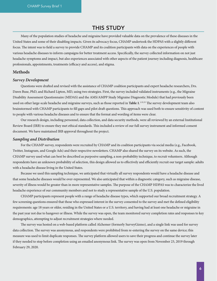## THIS STUDY

Many of the population studies of headache and migraine have provided valuable data on the prevalence of these diseases in the United States and some of their disabling impacts. Given its advocacy focus, CHAMP undertook the HDPAS with a slightly different focus. The intent was to field a survey to provide CHAMP and its coalition participants with data on the experiences of people with various headache diseases to inform campaigns for better treatment access. Specifically, the survey collected information on not just headache symptoms and impact, but also experiences associated with other aspects of the patient journey including diagnosis, healthcare professionals, appointments, treatments (efficacy and access), and stigma.

#### **Methods**

#### *Survey Development*

Questions were drafted and revised with the assistance of CHAMP coalition participants and expert headache researchers, Drs. Dawn Buse, PhD, and Richard Lipton, MD, using two strategies. First, the survey included validated instruments (e.g., the Migraine Disability Assessment Questionnaire (MIDAS) and the AMS/AMPP Study Migraine Diagnostic Module) that had previously been used on other large-scale headache and migraine surveys, such as those reported in **Table 1**. 1,32,33 The survey development team also brainstormed with CHAMP participants to fill gaps and pilot draft questions. This approach was used both to ensure sensitivity of content to people with various headache diseases and to ensure that the format and wording of items were clear.

Our research design, including personnel, data collection, and data security methods, were all reviewed by an external Institutional Review Board (IRB) to ensure they met ethical standards. This included a review of our full survey instrument and informed consent document. We have maintained IRB approval throughout the project.

#### *Sampling and Distribution*

For the CHAMP survey, respondents were recruited by CHAMP and its coalition participants via social media (e.g., Facebook, Twitter, Instagram, and Google Ads) and their respective newsletters. CHAMP also shared the survey on its website. As such, the CHAMP survey used what can best be described as purposive sampling, a non-probability technique, to recruit volunteers. Although respondents have an unknown probability of selection, this design allowed us to effectively and efficiently recruit our target sample: adults with a headache disease living in the United States.

Because we used this sampling technique, we anticipated that virtually all survey respondents would have a headache disease and that some headache diseases would be over-represented. We also anticipated that within a diagnostic category, such as migraine disease, severity of illness would be greater than in more representative samples. The purpose of the CHAMP HDPAS was to characterize the lived headache experience of our community members and not to study a representative sample of the U.S. population.

CHAMP participants represent people with a range of headache disease types, which supported our broad recruitment strategy. A few screening questions ensured that those who expressed interest in the survey consented to the survey and met the defined eligibility requirements: age 18 years or older, residing in the United States or a U.S. territory, and having had at least one headache or migraine in the past year not due to hangover or illness. While the survey was open, the team monitored survey completion rates and responses to key demographics, attempting to adjust recruitment strategies where needed.

The survey was hosted on a web-based platform called Alchemer (formerly SurveyGizmo), and a single link was used for survey data collection. The survey was anonymous, and respondents were prohibited from re-entering the survey on the same device; this measure was used to limit duplicate responses. The survey platform allowed users to save their progress and continue the survey later if they needed to stop before completion using an emailed anonymous link. The survey was open from November 23, 2019 through February 29, 2020.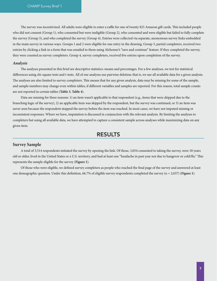The survey was incentivized. All adults were eligible to enter a raffle for one of twenty \$25 Amazon gift cards. This included people who did not consent (Group 1), who consented but were ineligible (Group 2), who consented and were eligible but failed to fully complete the survey (Group 3), and who completed the survey (Group 4). Entries were collected via separate, anonymous survey links embedded in the main survey in various ways. Groups 1 and 2 were eligible for one entry in the drawing. Group 3, partial completers, received two entries by clicking a link in a form that was emailed to them using Alchemer's "save and continue" feature. If they completed the survey, they were counted as survey completers. Group 4, survey completers, received five entries upon completion of the survey.

#### *Analysis*

The analyses presented in this brief are descriptive statistics: means and percentages. For a few analyses, we test for statistical differences using chi-square tests and t-tests. All of our analyses use pairwise deletion; that is, we use all available data for a given analysis. The analyses are also limited to survey completers. This means that for any given analysis, data may be missing for some of the sample, and sample numbers may change even within tables, if different variables and samples are reported. For this reason, total sample counts are not reported in certain tables (**Table 3**, **Table 4**).

Data are missing for three reasons: 1) an item wasn't applicable to that respondent (e.g., items that were skipped due to the branching logic of the survey), 2) an applicable item was skipped by the respondent, but the survey was continued, or 3) an item was never seen because the respondent stopped the survey before the item was reached. In most cases, we have not imputed missing or inconsistent responses. Where we have, imputation is discussed in conjunction with the relevant analysis. By limiting the analyses to completers but using all available data, we have attempted to capture a consistent sample across analyses while maximizing data on any given item.

### RESULTS

#### **Survey Sample**

A total of 3,514 respondents initiated the survey by opening the link. Of those, 3,054 consented to taking the survey, were 18 years old or older, lived in the United States or a U.S. territory, and had at least one "headache in past year not due to hangover or cold/flu." This represents the sample eligible for the survey (**Figure 1**).

Of those who were eligible, we defined survey completers as people who reached the final page of the survey and answered at least one demographic question. Under this definition, 66.7% of eligible survey respondents completed the survey (n = 2,037) (**Figure 1**).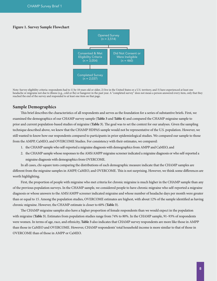#### **Figure 1. Survey Sample Flowchart**



Note: Survey eligibility criteria: respondents had to 1) be 18 years old or older, 2) live in the United States or a U.S. territory, and 3) have experienced at least one headache or migraine not due to illness (e.g., cold or flu) or hangover in the past year. A "completed survey" does not mean a person answered every item, only that they reached the end of the survey and responded to at least one item on that page.

#### **Sample Demographics**

This brief describes the characteristics of all respondents and serves as the foundation for a series of substantive briefs. First, we examined the demographics of our CHAMP survey sample (**Table 3** and **Table 4**) and compared the CHAMP migraine sample to prior and current population-based studies of migraine (**Table 3**). The goal was to set the context for our analyses. Given the sampling technique described above, we knew that the CHAMP HDPAS sample would not be representative of the U.S. population. However, we still wanted to know how our respondents compared to participants in prior epidemiological studies. We compared our sample to those from the AMPP, CaMEO, and OVERCOME Studies. For consistency with their estimates, we compared:

- 1. the CHAMP sample who self-reported a migraine diagnosis with demographics from AMPP and CaMEO, and
- 2. the CHAMP sample whose responses to the AMS/AMPP migraine screener indicated a migraine diagnosis or who self-reported a migraine diagnosis with demographics from OVERCOME.

In all cases, chi-square tests comparing the distributions of each demographic measure indicate that the CHAMP samples are different from the migraine samples in AMPP, CaMEO, and OVERCOME. This is not surprising. However, we think some differences are worth highlighting.

First, the proportion of people with migraine who met criteria for chronic migraine is much higher in the CHAMP sample than any of the previous population surveys. In the CHAMP sample, we considered people to have chronic migraine who self-reported a migraine diagnosis or whose answers to the AMS/AMPP screener indicated migraine and whose number of headache days per month were greater than or equal to 15. Among the population studies, OVERCOME estimates are highest, with about 12% of the sample identified as having chronic migraine. However, the CHAMP estimate is closer to 60% (**Table 3**).

The CHAMP migraine samples also have a higher proportion of female respondents than we would expect in the population with migraine (**Table 3**). Estimates from population studies range from 74% to 80%. In the CHAMP sample, 91–93% of respondents were women. In terms of age, race, and ethnicity, **Table 3** also indicates that CHAMP survey respondents are more like those in AMPP than those in CaMEO and OVERCOME. However, CHAMP respondents' total household income is more similar to that of those in OVERCOME than of those in AMPP or CaMEO.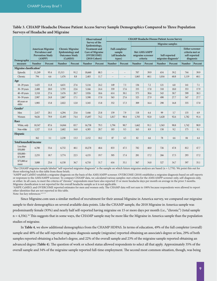#### **Table 3. CHAMP Headache Disease Patient Access Survey Sample Demographics Compared to Three Population Surveys of Headache and Migraine**

|                                      |               |                                                                                                                                                                                  |               |         |                                                                                                           | <b>Observational</b> | <b>CHAMP Headache Disease Patient Access Survey</b> |                                                            |               |                                               |                         |                                                  |               |                                                                         |
|--------------------------------------|---------------|----------------------------------------------------------------------------------------------------------------------------------------------------------------------------------|---------------|---------|-----------------------------------------------------------------------------------------------------------|----------------------|-----------------------------------------------------|------------------------------------------------------------|---------------|-----------------------------------------------|-------------------------|--------------------------------------------------|---------------|-------------------------------------------------------------------------|
|                                      |               |                                                                                                                                                                                  |               |         |                                                                                                           | Survey of the        |                                                     |                                                            |               |                                               | <b>Migraine samples</b> |                                                  |               |                                                                         |
| Demographic                          |               | <b>American Migraine</b><br><b>Chronic Migraine</b><br><b>Prevalence and</b><br><b>Epidemiology</b> and<br><b>Prevention Study</b><br><b>Outcomes Study</b><br>(AMPP)<br>(CaMEO) |               |         | Epidemiology,<br><b>Treatment</b> and<br><b>Care of Migraine</b><br>(OVERCOME)<br>$(2018 \text{ Cohort})$ |                      |                                                     | <b>Full completer</b><br>sample<br>(all headache<br>types) |               | Met AMS/AMPP<br>migraine screener<br>criteria |                         | Self-reported<br>migraine diagnosis <sup>1</sup> |               | <b>Either screener</b><br>criteria met or<br>self-reported<br>diagnosis |
| measure                              | <b>Number</b> | Percent                                                                                                                                                                          | <b>Number</b> | Percent | <b>Number</b>                                                                                             | Percent              | <b>Number</b>                                       | Percent                                                    | <b>Number</b> | Percent                                       | <b>Number</b>           | Percent                                          | <b>Number</b> | Percent                                                                 |
| Migraine classification <sup>2</sup> |               |                                                                                                                                                                                  |               |         |                                                                                                           |                      |                                                     |                                                            |               |                                               |                         |                                                  |               |                                                                         |
| Episodic                             | 11,249        | 93.4                                                                                                                                                                             | 15,313        | 91.2    | 18,660                                                                                                    | 88.3                 | $-$                                                 | $- -$                                                      | 707           | 39.9                                          | 654                     | 39.2                                             | 744           | 39.9                                                                    |
| Chronic                              | 794           | 6.6                                                                                                                                                                              | 1,476         | 8.8     | 2,483                                                                                                     | 11.7                 | $-1$                                                | $\overline{\phantom{a}}$                                   | 1,065         | 60.1                                          | 1,016                   | 60.8                                             | 1,119         | 60.1                                                                    |
| Age                                  |               |                                                                                                                                                                                  |               |         |                                                                                                           |                      |                                                     |                                                            |               |                                               |                         |                                                  |               |                                                                         |
| $18-29$ years                        | 1,425         | 11.8                                                                                                                                                                             | 4,631         | 27.6    | 5,116                                                                                                     | 24.2                 | 149                                                 | 7.3                                                        | 136           | 7.2                                           | 121                     | 6.8                                              | 141           | 7.1                                                                     |
| $30 - 39$ years                      | 2,408         | 20.0                                                                                                                                                                             | 3,793         | 22.6    | 5,166                                                                                                     | 24.4                 | 359                                                 | 17.6                                                       | 335           | 17.8                                          | 318                     | 18.0                                             | 353           | 17.9                                                                    |
| $40 - 49$ years                      | 3,318         | 27.6                                                                                                                                                                             | 3,476         | 20.7    | 3,926                                                                                                     | 18.6                 | 614                                                 | 30.1                                                       | 575           | 30.6                                          | 543                     | 30.7                                             | 599           | 30.3                                                                    |
| $50 - 59$ years                      | 2.987         | 24.8                                                                                                                                                                             | 2,867         | 17.1    | 3,590                                                                                                     | 17.0                 | 563                                                 | 27.6                                                       | 525           | 27.9                                          | 490                     | 27.7                                             | 547           | 27.7                                                                    |
| 60 years or<br>older                 | 1,905         | 15.8                                                                                                                                                                             | 2,022         | 12.0    | 3,345                                                                                                     | 15.8                 | 352                                                 | 17.3                                                       | 309           | 16.4                                          | 298                     | 16.8                                             | 335           | 17.0                                                                    |
| Gender <sup>3</sup>                  |               |                                                                                                                                                                                  |               |         |                                                                                                           |                      |                                                     |                                                            |               |                                               |                         |                                                  |               |                                                                         |
| Men                                  | 2,417         | 20.1                                                                                                                                                                             | 4,294         | 25.6    | 5,446                                                                                                     | 25.8                 | 159                                                 | 7.9                                                        | 118           | 6.4                                           | 99                      | 5.7                                              | 135           | 6.9                                                                     |
| Women                                | 9,626         | 79.9                                                                                                                                                                             | 12,495        | 74.4    | 15,697                                                                                                    | 74.2                 | 1,817                                               | 90.4                                                       | 1,705         | 92.0                                          | 1,620                   | 92.6                                             | 1,782         | 91.4                                                                    |
| Race                                 |               |                                                                                                                                                                                  |               |         |                                                                                                           |                      |                                                     |                                                            |               |                                               |                         |                                                  |               |                                                                         |
| White, only                          | 10,547        | 87.6                                                                                                                                                                             | 14,044        | 83.7    | 16,758                                                                                                    | 79.3                 | 1,794                                               | 90.7                                                       | 1,662         | 91.1                                          | 1,563                   | 90.8                                             | 1,742         | 90.9                                                                    |
| Non-white                            | 1,327         | 11.0                                                                                                                                                                             | 2,682         | 16.0    | 4,385                                                                                                     | 20.7                 | 183                                                 | 9.3                                                        | 163           | 8.9                                           | 158                     | 9.2                                              | 175           | 9.1                                                                     |
| <b>Hispanic</b>                      |               |                                                                                                                                                                                  |               |         |                                                                                                           |                      |                                                     |                                                            |               |                                               |                         |                                                  |               |                                                                         |
|                                      | 362           | 3.1                                                                                                                                                                              | 2,230         | 13.3    | 2,152                                                                                                     | 10.2                 | 87                                                  | 4.5                                                        | 82            | 4.6                                           | 78                      | 4.6                                              | 84            | 4.4                                                                     |
| <b>Total household income</b>        |               |                                                                                                                                                                                  |               |         |                                                                                                           |                      |                                                     |                                                            |               |                                               |                         |                                                  |               |                                                                         |
| Less than<br>\$50,000                | 6,700         | 55.6                                                                                                                                                                             | 6,732         | 40.1    | 10,278                                                                                                    | 48.6                 | 833                                                 | 47.5                                                       | 782           | 48.0                                          | 726                     | 47.8                                             | 812           | 47.7                                                                    |
| $$50,000-$<br>\$74,999               | 2,255         | 18.7                                                                                                                                                                             | 3,774         | 22.5    | 4,155                                                                                                     | 19.7                 | 305                                                 | 17.4                                                       | 281           | 17.2                                          | 266                     | 17.5                                             | 293           | 17.2                                                                    |
| \$75,000 or<br>more                  | 3,088         | 25.6                                                                                                                                                                             | 6,158         | 36.7    | 6,710                                                                                                     | 31.7                 | 616                                                 | 35.1                                                       | 567           | 34.8                                          | 527                     | 34.7                                             | 597           | 35.1                                                                    |

<sup>1</sup>The CHAMP migraine sample labeled "self-reported migraine diagnosis" is the sample on which future migraine analyses are based (n = 1,770). We point this out for those referring back to this table from those briefs.

2 AMPP and CaMEO establish a migraine diagnosis on the basis of the AMS/AMPP screener. OVERCOME (2018) establishes a migraine diagnosis based on self-reports or responses to the AMS/AMPP screener. To compare CHAMP data, we calculated various samples: met criteria for the AMS/AMPP screener only, self-diagnosis only, or either. In all cases, to meet the criteria of "chronic" respondents must have also reported 15 or more headache days per month on average in the prior 3 months. Migraine classification is not reported for the overall headache sample as it is not applicable.

3 AMPP, CaMEO, and OVERCOME reported estimates for men and women only. The CHAMP data will not sum to 100% because respondents were allowed to report other identities that are not reported in this table.

Note: See key references.<sup>6,13-1</sup>

Since Migraine.com uses a similar method of recruitment for their annual Migraine in America survey, we compared our migraine sample to their demographics on several available data points. Like the CHAMP sample, the 2018 Migraine in America sample was predominantly female (93%) and nearly half self-reported having migraine on 15 or more days per month (i.e., "chronic") (total sample  $n = 4,356$ .<sup>34</sup> This suggests that in some ways, the CHAMP sample may be more like the Migraine in America sample than the population studies of migraine.

In **Table 4**, we show additional demographics from the CHAMP HDPAS. In terms of education, 49% of the full completer (overall) sample and 48% of the self-reported migraine diagnosis sample (migraine) reported obtaining an associate's degree or less, 29% of both samples reported obtaining a bachelor's degree, and 22% of the overall sample and 23% of the migraine sample reported obtaining an advanced degree (**Table 4**). The question of work or school status allowed respondents to select all that apply. Approximately 35% of the overall sample and 34% of the migraine sample reported full-time employment. The second most common situation, though, was being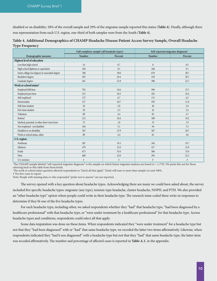disabled or on disability: 28% of the overall sample and 29% of the migraine sample reported this status (**Table 4**). Finally, although there was representation from each U.S. region, one-third of both samples were from the South (**Table 4**).

|                                                | Full completer sample (all headache types) |         | Self-reported migraine diagnosis <sup>1</sup> |         |
|------------------------------------------------|--------------------------------------------|---------|-----------------------------------------------|---------|
| Demographic measure                            | <b>Number</b>                              | Percent | <b>Number</b>                                 | Percent |
| <b>Highest level of education</b>              |                                            |         |                                               |         |
| Less than high school                          | 14                                         | 0.7     | 8                                             | 0.5     |
| High school diploma or equivalent              | 184                                        | 9.1     | 160                                           | 9.1     |
| Some college (no degree) or associate's degree | 786                                        | 39.0    | 679                                           | 38.7    |
| Bachelor's degree                              | 593                                        | 29.4    | 510                                           | 29.1    |
| Graduate degree                                | 441                                        | 21.9    | 398                                           | 22.7    |
| Work or school status <sup>2</sup>             |                                            |         |                                               |         |
| Employed full time                             | 703                                        | 34.6    | 596                                           | 33.7    |
| Employed part time                             | 213                                        | 10.5    | 183                                           | 10.4    |
| Self-employed                                  | 137                                        | 6.7     | 115                                           | 6.5     |
| Homemaker                                      | 217                                        | 10.7    | 195                                           | 11.0    |
| Full-time student                              | 56                                         | 2.8     | 46                                            | 2.6     |
| Part-time student                              | 50                                         | 2.5     | 42                                            | 2.4     |
| Volunteer                                      | 89                                         | 4.4     | 83                                            | 4.7     |
| Retired                                        | 212                                        | 10.4    | 180                                           | 10.2    |
| Medical, parental, or other short-term leave   | 37                                         | 1.8     | 33                                            | 1.9     |
| Not employed - not disabled                    | 104                                        | 5.1     | 94                                            | 5.3     |
| Disabled or on disability                      | 567                                        | 27.9    | 507                                           | 28.7    |
| Work or school status, other                   | 89                                         | 4.4     | 81                                            | 4.6     |
| U.S. region                                    |                                            |         |                                               |         |
| Northeast                                      | 387                                        | 19.3    | 344                                           | 19.7    |
| Midwest                                        | 479                                        | 23.9    | 417                                           | 23.9    |
| South                                          | 673                                        | 33.6    | 586                                           | 33.6    |
| West                                           | 460                                        | 23.0    | 392                                           | 22.5    |
| U.S. territory                                 | $\#$                                       | $\#$    | $\#$                                          | $\#$    |

#### **Table 4. Additional Demographics of CHAMP Headache Disease Patient Access Survey Sample, Overall Headache Type Frequency**

<sup>1</sup>The CHAMP sample labeled "self-reported migraine diagnosis" is the sample on which future migraine analyses are based (n = 1,770). We point this out for those referring back to this table from those briefs.

2 The work or school status question allowed respondents to "check all that apply." Totals will sum to more than sample (n) and 100%.

# Too few cases to report.

Note: People with missing data or who responded "prefer not to answer" are not reported.

The survey opened with a key question about headache types. Acknowledging there are many we could have asked about, the survey included five specific headache types: migraine (any type), tension-type headache, cluster headache, NDPH, and PTH. We also provided an "other headache type" option where people could write in their headache type. The research team coded these write-in responses to determine if they fit one of the five headache types.

For each headache type, including other, we asked respondents whether they "had" that headache type, "had been diagnosed by a healthcare professional" with that headache type, or "were under treatment by a healthcare professional" for that headache type. Across headache types and conditions, respondents could select all that apply.

Some data imputation was done on these items. When respondents indicated they "were under treatment" for a headache type but not that they "had been diagnosed" with or "had" that same headache type, we recoded the latter two items affirmatively. Likewise, when respondents indicated they "had b een diagnosed" with a headache type but not that they "had" that same headache type, the latter item was recoded affirmatively. The number and percentage of affected cases is reported in **Table A.1.** in the appendix.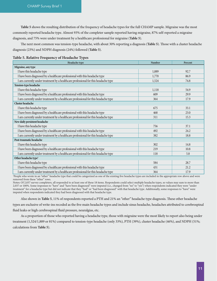**Table 5** shows the resulting distribution of the frequency of headache types for the full CHAMP sample. Migraine was the most commonly reported headache type. Almost 93% of the completer sample reported having migraine, 87% self-reported a migraine diagnosis, and 75% were under treatment by a healthcare professional for migraine (**Table 5**).

The next most common was tension-type headache, with about 30% reporting a diagnosis (**Table 5**). Those with a cluster headache diagnosis (23%) and NDPH diagnosis (24%) followed (**Table 5**).

| <b>Table 5. Relative Frequency of Headache Types</b> |  |  |
|------------------------------------------------------|--|--|
|------------------------------------------------------|--|--|

| Headache type                                                                      | Number | Percent |
|------------------------------------------------------------------------------------|--------|---------|
| Migraine, any type                                                                 |        |         |
| I have this headache type                                                          | 1,889  | 92.7    |
| I have been diagnosed by a healthcare professional with this headache type         | 1,770  | 86.9    |
| I am currently under treatment by a healthcare professional for this headache type | 1,524  | 74.8    |
| Tension-type headache                                                              |        |         |
| I have this headache type                                                          | 1,118  | 54.9    |
| I have been diagnosed by a healthcare professional with this headache type         | 609    | 29.9    |
| I am currently under treatment by a healthcare professional for this headache type | 364    | 17.9    |
| <b>Cluster</b> headache                                                            |        |         |
| I have this headache type                                                          | 675    | 33.1    |
| I have been diagnosed by a healthcare professional with this headache type         | 468    | 23.0    |
| I am currently under treatment by a healthcare professional for this headache type | 311    | 15.3    |
| New daily persistent headache                                                      |        |         |
| I have this headache type                                                          | 756    | 37.1    |
| I have been diagnosed by a healthcare professional with this headache type         | 492    | 24.2    |
| I am currently under treatment by a healthcare professional for this headache type | 382    | 18.8    |
| Post-traumatic headache                                                            |        |         |
| I have this headache type                                                          | 302    | 14.8    |
| I have been diagnosed by a healthcare professional with this headache type         | 219    | 10.8    |
| I am currently under treatment by a healthcare professional for this headache type | 118    | 5.8     |
| Other headache type <sup>1</sup>                                                   |        |         |
| I have this headache type                                                          | 584    | 28.7    |
| I have been diagnosed by a healthcare professional with this headache type         | 431    | 21.2    |
| I am currently under treatment by a healthcare professional for this headache type | 364    | 17.9    |

1 People who wrote in an "other" headache type that could be categorized as one of the existing five headache types are included in the appropriate row above and were removed from these "other" rows.

Notes: Of 2,037 survey completers, all responded to at least one of these 18 items. Respondents could select multiple headache types, so values may sum to more than 2,037 or 100%. Some responses to "have" and "have been diagnosed" were imputed (i.e., changed from "no" to "yes") when respondents indicated they were "under treatment" for a headache type but did not indicate that they "had" or "had been diagnosed" with that headache type. Additionally, some responses to "have" were imputed when respondents indicated they had been diagnosed with that headache type.

Also shown in **Table 5**, 11% of respondents reported a PTH and 21% an "other" headache type diagnosis. These other headache

types are exclusive of write-ins recoded as the five main headache types and include sinus headache, headaches attributed to cerebrospinal fluid leaks or high cerebrospinal fluid pressure, neuralgias, etc.

As a proportion of those who reported having a headache type, those with migraine were the most likely to report also being under treatment (1,524/1,889 or 81%) compared to tension-type headache (only 33%), PTH (39%), cluster headache (46%), and NDPH (51%; calculations from **Table 5**).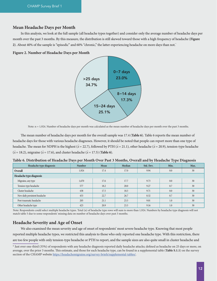#### **Mean Headache Days per Month**

In this analysis, we look at the full sample (all headache types together) and consider only the average number of headache days per month over the past 3 months. By this measure, the distribution is still skewed toward those with a high frequency of headache (**Figure 2**). About 40% of the sample is "episodic" and 60% "chronic," the latter experiencing headache on more days than not.\*

#### **Figure 2. Number of Headache Days per Month**



Note:  $n = 1,924$ . Number of headache days per month was calculated as the mean number of headache days per month over the past 3 months.

The mean number of headache days per month for the overall sample was 17.4 (**Table 6**). Table 6 reports the mean number of headache days for those with various headache diagnoses. However, it should be noted that people can report more than one type of headache. The mean for NDPH is the highest ( $\bar{x}$  = 22.7), followed by PTH ( $\bar{x}$  = 21.1), other headache ( $\bar{x}$  = 20.9), tension-type headache  $(\bar{x} = 18.2)$ , migraine ( $\bar{x} = 17.6$ ), and cluster headache ( $\bar{x} = 17.5$ ) (**Table 6**).

| Headache type diagnosis       | <b>Number</b> | Mean | Median | Std. Dev. | Min. | Max. |
|-------------------------------|---------------|------|--------|-----------|------|------|
| Overall                       | 1,924         | 17.4 | 17.0   | 9.94      | 0.0  | 30   |
| Headache type diagnosis       |               |      |        |           |      |      |
| Migraine, any type            | 1,670         | 17.6 | 17.7   | 9.73      | 0.0  | 30   |
| Tension-type headache         | 577           | 18.2 | 20.0   | 9.27      | 0.7  | 30   |
| Cluster headache              | 438           | 17.5 | 18.3   | 9.71      | 0.0  | 30   |
| New daily persistent headache | 453           | 22.7 | 26.7   | 8.32      | 0.7  | 30   |
| Post-traumatic headache       | 205           | 21.1 | 23.3   | 9.01      | 1.0  | 30   |
| Other headache type           | 423           | 20.9 | 23.3   | 9.16      | 1.0  | 30   |

**Table 6. Distribution of Headache Days per Month Over Past 3 Months, Overall and by Headache Type Diagnosis**

Note: Respondents could select multiple headache types. Total (n) of headache type rows will sum to more than 1,924. Numbers by headache type diagnosis will not match table 5 due to some respondents' missing data on number of headache days over past 3 months.

#### **Headache Severity and Age of Onset**

We also examined the mean severity and age of onset of respondents' most severe headache type. Knowing that most people reported multiple headache types, we restricted this analysis to those who only reported one headache type. With this restriction, there are too few people with only tension-type headache or PTH to report, and the sample sizes are also quite small in cluster headache and

<sup>\*</sup> Just over one-third (35%) of respondents with any headache diagnosis reported daily headache attacks; defined as headache on 25 days or more, on average, over the prior 3 months. This estimate, and those for each headache type, can be found in a supplemental table (**Table S.1.1**) on the survey section of the CHAMP website [https://headachemigraine.org/survey-briefs/supplemental-tables/.](https://headachemigraine.org/survey-briefs/supplemental-tables/)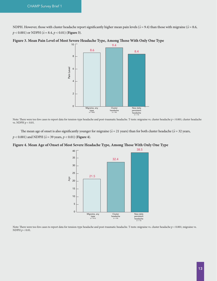NDPH. However, those with cluster headache report significantly higher mean pain levels ( $\bar{x}$  = 9.4) than those with migraine ( $\bar{x}$  = 8.6, *p* < 0.001) or NDPH (*x¯* = 8.4, *p* < 0.01) (**Figure 3**).



**Figure 3. Mean Pain Level of Most Severe Headache Type, Among Those With Only One Type**

Note: There were too few cases to report data for tension-type headache and post-traumatic headache. T-tests: migraine vs. cluster headache *p* < 0.001; cluster headache vs. NDPH *p* < 0.01.

The mean age of onset is also significantly younger for migraine ( $\bar{x}$  = 21 years) than for both cluster headache ( $\bar{x}$  = 32 years, *p* < 0.001) and NDPH ( $\bar{x}$  = 39 years, *p* < 0.01) (**Figure 4**).

**Figure 4. Mean Age of Onset of Most Severe Headache Type, Among Those With Only One Type**



Note: There were too few cases to report data for tension-type headache and post-traumatic headache. T-tests: migraine vs. cluster headache  $p < 0.001$ ; migraine vs. NDPH *p* < 0.01.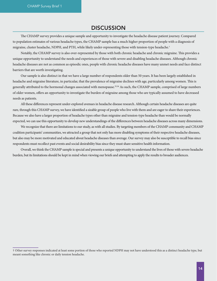## **DISCUSSION**

The CHAMP survey provides a unique sample and opportunity to investigate the headache disease patient journey. Compared to population estimates of various headache types, the CHAMP sample has a much higher proportion of people with a diagnosis of migraine, cluster headache, NDPH, and PTH, while likely under-representing those with tension-type headache.†

Notably, the CHAMP survey is also over-represented by those with both chronic headache and chronic migraine. This provides a unique opportunity to understand the needs and experiences of those with severe and disabling headache diseases. Although chronic headache diseases are not as common as episodic ones, people with chronic headache diseases have many unmet needs and face distinct barriers that are worth investigating.

Our sample is also distinct in that we have a large number of respondents older than 50 years. It has been largely established in headache and migraine literature, in particular, that the prevalence of migraine declines with age, particularly among women. This is generally attributed to the hormonal changes associated with menopause.<sup>35,36</sup> As such, the CHAMP sample, comprised of large numbers of older women, offers an opportunity to investigate the burden of migraine among those who are typically assumed to have decreased needs as patients.

All these differences represent under-explored avenues in headache disease research. Although certain headache diseases are quite rare, through this CHAMP survey, we have identified a sizable group of people who live with them and are eager to share their experiences. Because we also have a larger proportion of headache types other than migraine and tension-type headache than would be normally expected, we can use this opportunity to develop new understandings of the differences between headache diseases across many dimensions.

We recognize that there are limitations to our study, as with all studies. By targeting members of the CHAMP community and CHAMP coalition participants' communities, we attracted a group that not only has more disabling symptoms of their respective headache diseases, but also may be more motivated and educated about headache diseases than average. Our survey may also be susceptible to recall bias since respondents must recollect past events and social desirability bias since they must share sensitive health information.

Overall, we think the CHAMP sample is special and presents a unique opportunity to understand the lives of those with severe headache burden, but its limitations should be kept in mind when viewing our briefs and attempting to apply the results to broader audiences.

<sup>†</sup> Other survey responses indicated at least some portion of those who reported NDPH may not have understood this as a distinct headache type, but meant something like chronic or daily tension headache.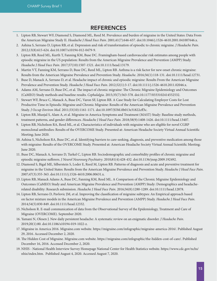## REFERENCES

- 1. Lipton RB, Stewart WF, Diamond S, Diamond ML, Reed M. Prevalence and burden of migraine in the United States: Data From the American Migraine Study II. *Headache J Head Face Pain*. 2001;41(7):646-657. doi:10.1046/j.1526-4610.2001.041007646.x.
- 2. Ashina S, Serrano D, Lipton RB, et al. Depression and risk of transformation of episodic to chronic migraine. *J Headache Pain*. 2012;13(8):615-624. doi:10.1007/s10194-012-0479-9.
- 3. Lipton RB, Reed ML, Kurth T, Fanning KM, Buse DC. Framingham-based cardiovascular risk estimates among people with episodic migraine in the US population: Results from the American Migraine Prevalence and Prevention (AMPP) Study. *Headache J Head Face Pain*. 2017;57(10):1507-1521. doi:10.1111/head.13179.
- 4. Martin VT, Fanning KM, Serrano D, Buse DC, Reed ML, Lipton RB. Asthma is a risk factor for new onset chronic migraine: Results from the American Migraine Prevalence and Prevention Study. *Headache*. 2016;56(1):118-131. doi:10.1111/head.12731.
- 5. Buse D, Manack A, Serrano D, et al. Headache impact of chronic and episodic migraine: Results From the American Migraine Prevalence and Prevention Study. *Headache J Head Face Pain*. 2012;52(1):3-17. doi:10.1111/j.1526-4610.2011.02046.x.
- 6. Adams AM, Serrano D, Buse DC, et al. The impact of chronic migraine: The Chronic Migraine Epidemiology and Outcomes (CaMEO) Study methods and baseline results. *Cephalalgia*. 2015;35(7):563-578. doi:10.1177/0333102414552532.
- 7. Stewart WF, Bruce C, Manack A, Buse DC, Varon SF, Lipton RB. A Case Study for Calculating Employer Costs for Lost Productive Time in Episodic Migraine and Chronic Migraine: Results of the American Migraine Prevalence and Prevention Study. *J Occup Environ Med*. 2011;53(10):1161-1171. doi:10.1097/JOM.0b013e31822cff3c.
- 8. Lipton RB, Munjal S, Alam A, et al. Migraine in America Symptoms and Treatment (MAST) Study: Baseline study methods, treatment patterns, and gender differences. *Headache J Head Face Pain*. 2018;58(9):1408-1426. doi:10.1111/head.13407.
- 9. Lipton RB, Nicholson RA, Reed ML, et al. Characteristics of individuals with migraine who are eligible for novel CGRP monoclonal antibodies: Results of the OVERCOME Study. Presented at: American Headache Society Virtual Annual Scientific Meeting; June 2020.
- 10. Ashina S, Nicholson RA, Buse DC, et al. Identifying barriers to care-seeking, diagnosis, and preventive medication among those with migraine: Results of the OVERCOME Study. Presented at: American Headache Society Virtual Annual Scientific Meeting; June 2020.
- 11. Buse DC, Manack A, Serrano D, Turkel C, Lipton RB. Sociodemographic and comorbidity profiles of chronic migraine and episodic migraine sufferers. *J Neurol Neurosurg Psychiatry*. 2010;81(4):428-432. doi:10.1136/jnnp.2009.192492.
- 12. Diamond S, Bigal ME, Silberstein S, Loder E, Reed M, Lipton RB. Patterns of diagnosis and acute and preventive treatment for migraine in the United States: Results from the American Migraine Prevalence and Prevention Study. *Headache J Head Face Pain*. 2007;47(3):355-363. doi:10.1111/j.1526-4610.2006.00631.x.
- 13. Lipton RB, Manack Adams A, Buse DC, Fanning KM, Reed ML. A Comparison of the Chronic Migraine Epidemiology and Outcomes (CaMEO) Study and American Migraine Prevalence and Prevention (AMPP) Study: Demographics and headacherelated disability: Research submission. *Headache J Head Face Pain*. 2016;56(8):1280-1289. doi:10.1111/head.12878.
- 14. Lipton RB, Serrano D, Pavlovic JM, et al. Improving the classification of migraine subtypes: An Empirical approach based on factor mixture models in the American Migraine Prevalence and Prevention (AMPP) Study. *Headache J Head Face Pain*. 2014;54(5):830-849. doi:10.1111/head.12332.
- 15. Nicholson R. E-mail communication of data from the Observational Survey of the Epidemiology, Treatment and Care of Migraine (OVERCOME). September 2020.
- 16. Yamani N, Olesen J. New daily persistent headache: A systematic review on an enigmatic disorder. *J Headache Pain*. 2019;20(1):80. doi:10.1186/s10194-019-1022-z.
- 17. Migraine in America 2016. Migraine.com website. https://migraine.com/infographic/migraine-america-2016/. Published August 29, 2016. Accessed December 2, 2020.
- 18. The Hidden Cost of Migraine. Migraine.com website. https://migraine.com/infographic/the-hidden-cost-of-care/. Published December 16, 2016. Accessed December 2, 2020.
- 19. NHIS National Health Interview Survey Homepage National Center for Health Statistics website. https://www.cdc.gov/nchs/ nhis/index.htm. Published August 4, 2020. Accessed August 7, 2020.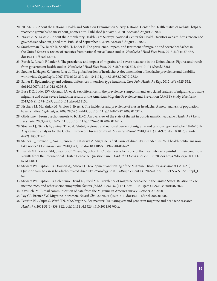- 20. NHANES About the National Health and Nutrition Examination Survey. National Center for Health Statistics website. https:// www.cdc.gov/nchs/nhanes/about\_nhanes.htm. Published January 8, 2020. Accessed August 7, 2020.
- 21. NAMCS/NHAMCS About the Ambulatory Health Care Surveys. National Center for Health Statistics website. https://www.cdc. gov/nchs/ahcd/about\_ahcd.htm. Published September 6, 2019. Accessed August 7, 2020.
- 22. Smitherman TA, Burch R, Sheikh H, Loder E. The prevalence, impact, and treatment of migraine and severe headaches in the United States: A review of statistics from national surveillance studies. *Headache J Head Face Pain*. 2013;53(3):427-436. doi:10.1111/head.12074.
- 23. Burch R, Rizzoli P, Loder E. The prevalence and impact of migraine and severe headache in the United States: Figures and trends from government health studies. *Headache J Head Face Pain*. 2018;58(4):496-505. doi:10.1111/head.13281.
- 24. Stovner L, Hagen K, Jensen R, et al. The global burden of headache: A documentation of headache prevalence and disability worldwide. *Cephalalgia*. 2007;27(3):193-210. doi:10.1111/j.1468-2982.2007.01288.x.
- 25. Sahler K. Epidemiology and cultural differences in tension-type headache. *Curr Pain Headache Rep*. 2012;16(6):525-532. doi:10.1007/s11916-012-0296-5.
- 26. Buse DC, Loder EW, Gorman JA, et al. Sex differences in the prevalence, symptoms, and associated features of migraine, probable migraine and other severe headache: results of the American Migraine Prevalence and Prevention (AMPP) Study. *Headache*. 2013;53(8):1278-1299. doi:10.1111/head.12150.
- 27. Fischera M, Marziniak M, Gralow I, Evers S. The incidence and prevalence of cluster headache: A meta-analysis of populationbased studies. *Cephalalgia*. 2008;28(6):614-618. doi:10.1111/j.1468-2982.2008.01592.x.
- 28. Gladstone J. From psychoneurosis to ICHD-2: An overview of the state of the art in post-traumatic headache. *Headache J Head Face Pain*. 2009;49(7):1097-1111. doi:10.1111/j.1526-4610.2009.01461.x.
- 29. Stovner LJ, Nichols E, Steiner TJ, et al. Global, regional, and national burden of migraine and tension-type headache, 1990–2016: A systematic analysis for the Global Burden of Disease Study 2016. *Lancet Neurol*. 2018;17(11):954-976. doi:10.1016/S1474- 4422(18)30322-3.
- 30. Steiner TJ, Stovner LJ, Vos T, Jensen R, Katsarava Z. Migraine is first cause of disability in under 50s: Will health politicians now take notice? *J Headache Pain*. 2018;19(1):17. doi:10.1186/s10194-018-0846-2.
- 31. Burish MJ, Pearson SM, Shapiro RE, Zhang W, Schor LI. Cluster headache is one of the most intensely painful human conditions: Results from the International Cluster Headache Questionnaire. *Headache J Head Face Pain*. 2020. doi:https://doi.org/10.1111/ head.14021.
- 32. Stewart WF, Lipton RB, Dowson AJ, Sawyer J. Development and testing of the Migraine Disability Assessment (MIDAS) Questionnaire to assess headache-related disability. *Neurology*. 2001;56(Supplement 1):S20-S28. doi:10.1212/WNL.56.suppl\_1. S20.
- 33. Stewart WF, Lipton RB, Celentano, David D., Reed ML. Prevalence of migraine headache in the United States: Relation to age, income, race, and other sociodemographic factors. *JAMA*. 1992;267(1):64. doi:10.1001/jama.1992.03480010072027.
- 34. Kavulich, M. E-mail communication of data from the Migraine in America survey. October 20, 2020.
- 35. Lay CL, Broner SW. Migraine in women. *Neurol Clin*. 2009;27(2):503-511. doi:10.1016/j.ncl.2009.01.002.
- 36. Peterlin BL, Gupta S, Ward TN, MacGregor A. Sex matters: Evaluating sex and gender in migraine and headache research. *Headache*. 2011;51(6):839-842. doi:10.1111/j.1526-4610.2011.01900.x.